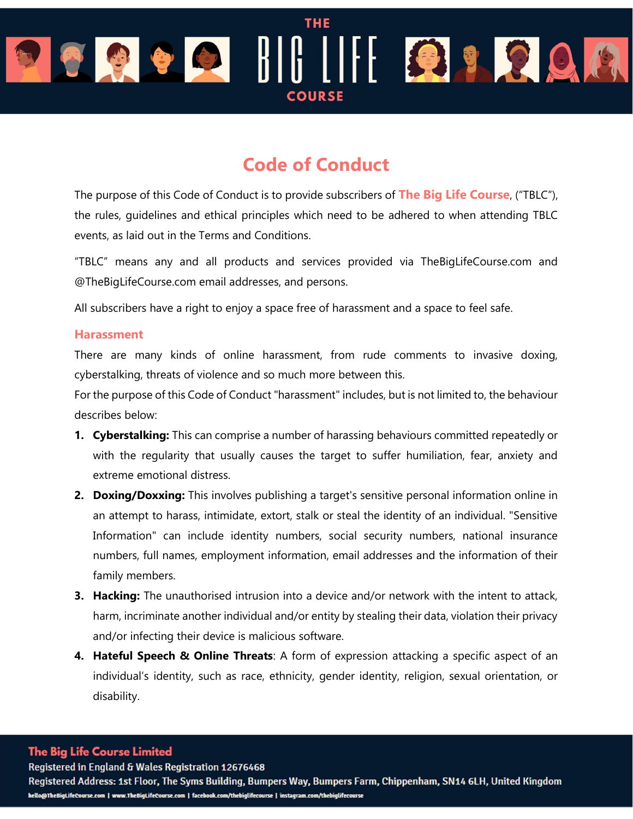# **THE** OBODIII BROA **COURS**

# Code of Conduct

The purpose of this Code of Conduct is to provide subscribers of The Big Life Course, ("TBLC"), the rules, guidelines and ethical principles which need to be adhered to when attending TBLC events, as laid out in the Terms and Conditions.

"TBLC" means any and all products and services provided via TheBigLifeCourse.com and @TheBigLifeCourse.com email addresses, and persons.

All subscribers have a right to enjoy a space free of harassment and a space to feel safe.

## **Harassment**

There are many kinds of online harassment, from rude comments to invasive doxing, cyberstalking, threats of violence and so much more between this.

For the purpose of this Code of Conduct "harassment" includes, but is not limited to, the behaviour describes below:

- 1. Cyberstalking: This can comprise a number of harassing behaviours committed repeatedly or with the regularity that usually causes the target to suffer humiliation, fear, anxiety and extreme emotional distress.
- 2. Doxing/Doxxing: This involves publishing a target's sensitive personal information online in an attempt to harass, intimidate, extort, stalk or steal the identity of an individual. "Sensitive Information" can include identity numbers, social security numbers, national insurance numbers, full names, employment information, email addresses and the information of their family members.
- **3. Hacking:** The unauthorised intrusion into a device and/or network with the intent to attack, harm, incriminate another individual and/or entity by stealing their data, violation their privacy and/or infecting their device is malicious software.
- 4. Hateful Speech & Online Threats: A form of expression attacking a specific aspect of an individual's identity, such as race, ethnicity, gender identity, religion, sexual orientation, or disability.

## **The Big Life Course Limited**

Registered in England & Wales Registration 12676468

Registered Address: 1st Floor, The Syms Building, Bumpers Way, Bumpers Farm, Chippenham, SN14 6LH, United Kingdom hello@TheBigLifeCourse.com | www.TheBigLifeCourse.com | facebook.com/thebiglifecourse | instagram.com/thebiglifecourse